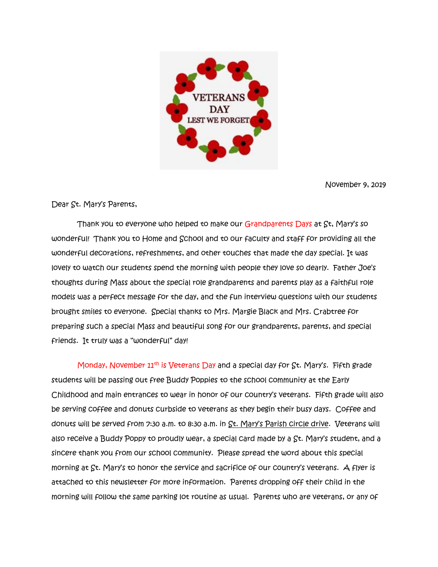

November 9, 2019

Dear St. Mary's Parents,

Thank you to everyone who helped to make our Grandparents Days at St, Mary's so wonderful! Thank you to Home and School and to our faculty and staff for providing all the wonderful decorations, refreshments, and other touches that made the day special. It was lovely to watch our students spend the morning with people they love so dearly. Father Joe's thoughts during Mass about the special role grandparents and parents play as a faithful role models was a perfect message for the day, and the fun interview questions with our students brought smiles to everyone. Special thanks to Mrs. Margie Black and Mrs. Crabtree for preparing such a special Mass and beautiful song for our grandparents, parents, and special friends. It truly was a "wonderful" day!

Monday, November 11<sup>th</sup> is Veterans Day and a special day for St. Mary's. Fifth grade students will be passing out free Buddy Poppies to the school community at the Early Childhood and main entrances to wear in honor of our country's veterans. Fifth grade will also be serving coffee and donuts curbside to veterans as they begin their busy days. Coffee and donuts will be served from 7:30 a.m. to 8:30 a.m. in St. Mary's Parish circle drive. Veterans will also receive a Buddy Poppy to proudly wear, a special card made by a St. Mary's student, and a sincere thank you from our school community. Please spread the word about this special morning at St. Mary's to honor the service and sacrifice of our country's veterans. A flyer is attached to this newsletter for more information. Parents dropping off their child in the morning will follow the same parking lot routine as usual. Parents who are veterans, or any of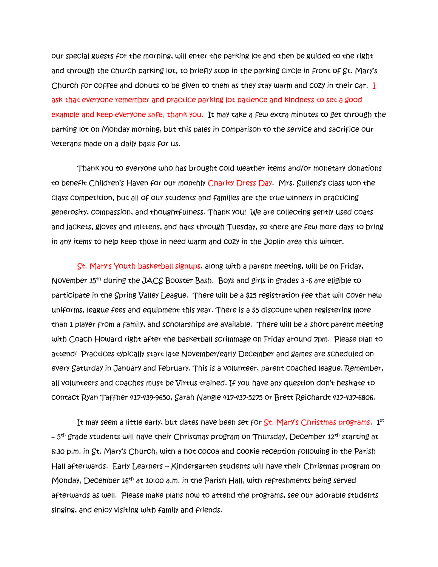our special guests for the morning, will enter the parking lot and then be guided to the right and through the church parking lot, to briefly stop in the parking circle in front of St. Mary's Church for coffee and donuts to be given to them as they stay warm and cozy in their car. I ask that everyone remember and practice parking lot patience and kindness to set a good example and keep everyone safe, thank you. It may take a few extra minutes to get through the parking lot on Monday morning, but this pales in comparison to the service and sacrifice our veterans made on a daily basis for us.

 Thank you to everyone who has brought cold weather items and/or monetary donations to benefit Children's Haven for our monthly Charity Dress Day. Mrs. Sullens's class won the class competition, but all of our students and families are the true winners in practicing generosity, compassion, and thoughtfulness. Thank you! We are collecting gently used coats and jackets, gloves and mittens, and hats through Tuesday, so there are few more days to bring in any items to help keep those in need warm and cozy in the Joplin area this winter.

 St. Mary's Youth basketball signups, along with a parent meeting, will be on Friday, November 15th during the JACS Booster Bash. Boys and girls in grades 3 -6 are eligible to participate in the Spring Valley League. There will be a \$25 registration fee that will cover new uniforms, league fees and equipment this year. There is a \$5 discount when registering more than 1 player from a family, and scholarships are available. There will be a short parent meeting with Coach Howard right after the basketball scrimmage on Friday around 7pm. Please plan to attend! Practices typically start late November/early December and games are scheduled on every Saturday in January and February. This is a volunteer, parent coached league. Remember, all volunteers and coaches must be Virtus trained. If you have any question don't hesitate to contact Ryan Taffner 417-439-9650, Sarah Nangle 417-437-5175 or Brett Reichardt 417-437-6806.

It may seem a little early, but dates have been set for  $\operatorname{\mathsf{St}}$ . Mary's Christmas programs.  $1^\text{st}$ – 5<sup>th</sup> grade students will have their Christmas program on Thursday, December 12<sup>th</sup> starting at 6:30 p.m. in St. Mary's Church, with a hot cocoa and cookie reception following in the Parish Hall afterwards. Early Learners – Kindergarten students will have their Christmas program on Monday, December  $16^{th}$  at 10:00 a.m. in the Parish Hall, with refreshments being served afterwards as well. Please make plans now to attend the programs, see our adorable students singing, and enjoy visiting with family and friends.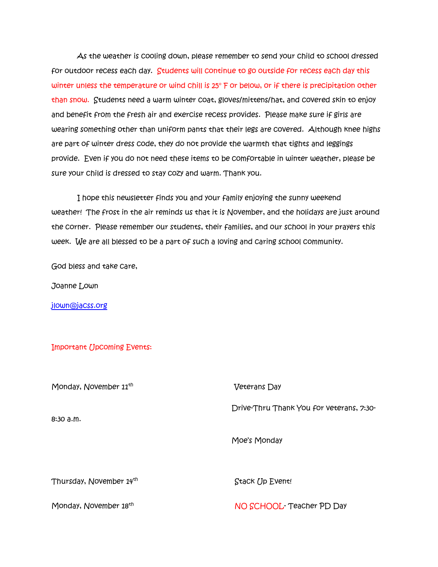As the weather is cooling down, please remember to send your child to school dressed for outdoor recess each day. Students will continue to go outside for recess each day this winter unless the temperature or wind chill is 25° F or below, or if there is precipitation other than snow. Students need a warm winter coat, gloves/mittens/hat, and covered skin to enjoy and benefit from the fresh air and exercise recess provides. Please make sure if girls are wearing something other than uniform pants that their legs are covered. Although knee highs are part of winter dress code, they do not provide the warmth that tights and leggings provide. Even if you do not need these items to be comfortable in winter weather, please be sure your child is dressed to stay cozy and warm. Thank you.

 I hope this newsletter finds you and your family enjoying the sunny weekend weather! The frost in the air reminds us that it is November, and the holidays are just around the corner. Please remember our students, their families, and our school in your prayers this week. We are all blessed to be a part of such a loving and caring school community.

God bless and take care,

Joanne Lown

[jlown@jacss.org](mailto:jlown@jacss.org)

Important (Jpcoming Events:

| Monday, November 11 <sup>th</sup> | <b>Veterans Day</b>                      |
|-----------------------------------|------------------------------------------|
| 8:30a.m.                          | Drive-Thru Thank You for veterans, 7:30- |
|                                   | Moe's Monday                             |
| Thursday, November 14th           | Stack Up Event!                          |
| Monday, November 18 <sup>th</sup> | NO SCHOOL Teacher PD Day                 |